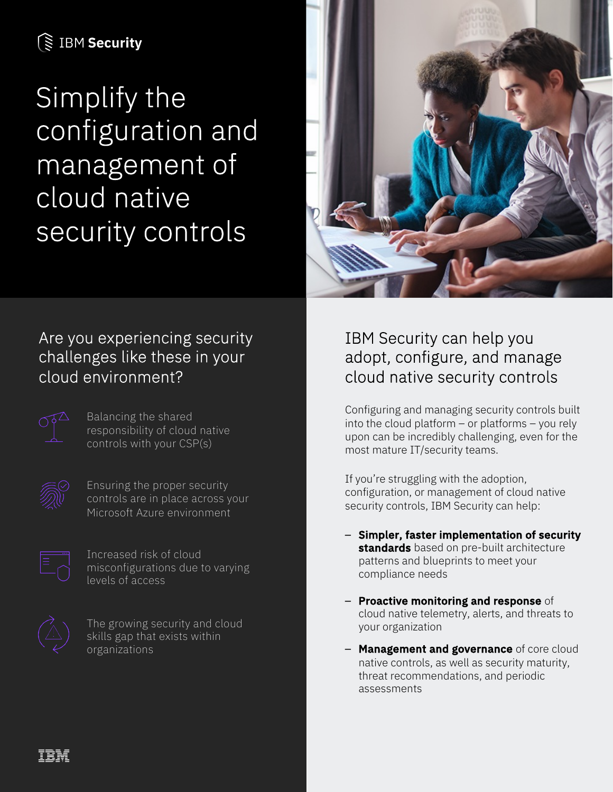# **S IBM Security**

Simplify the configuration and management of cloud native security controls



# Are you experiencing security challenges like these in your cloud environment?



Balancing the shared responsibility of cloud native controls with your CSP(s)



Ensuring the proper security controls are in place across your Microsoft Azure environment



Increased risk of cloud misconfigurations due to varying levels of access



The growing security and cloud skills gap that exists within organizations

## IBM Security can help you adopt, configure, and manage cloud native security controls

Configuring and managing security controls built into the cloud platform  $-$  or platforms  $-$  you rely upon can be incredibly challenging, even for the most mature IT/security teams.

If you're struggling with the adoption, configuration, or management of cloud native security controls, IBM Security can help:

- Simpler, faster implementation of security standards based on pre-built architecture patterns and blueprints to meet your compliance needs
- Proactive monitoring and response of cloud native telemetry, alerts, and threats to your organization
- Management and governance of core cloud native controls, as well as security maturity, threat recommendations, and periodic assessments